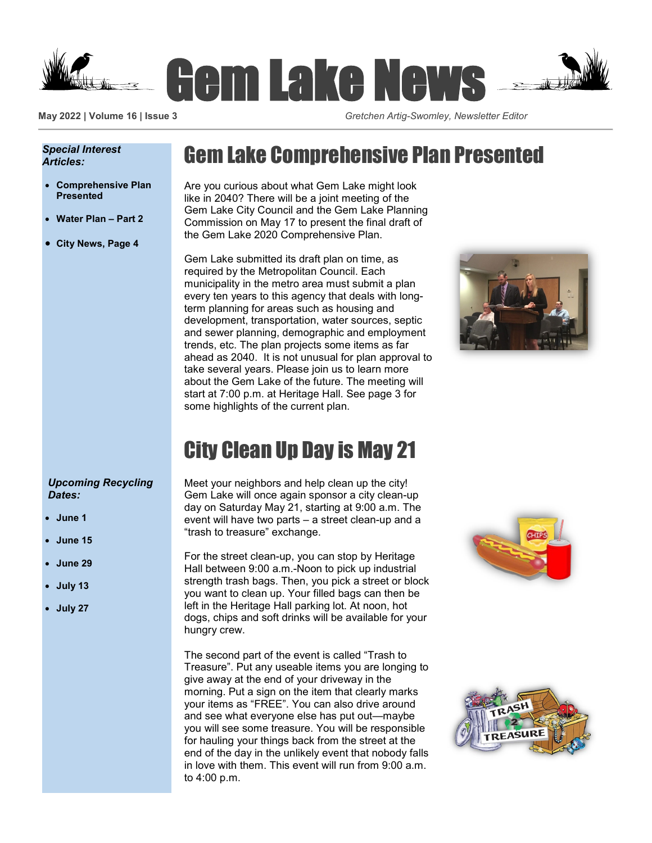

**May 2022 | Volume 16 | Issue 3** *Gretchen Artig-Swomley, Newsletter Editor*

#### *Special Interest Articles:*

- **Comprehensive Plan Presented**
- **Water Plan – Part 2**
- **City News, Page 4**

## Gem Lake Comprehensive Plan Presented

Are you curious about what Gem Lake might look like in 2040? There will be a joint meeting of the Gem Lake City Council and the Gem Lake Planning Commission on May 17 to present the final draft of the Gem Lake 2020 Comprehensive Plan.

Gem Lake submitted its draft plan on time, as required by the Metropolitan Council. Each municipality in the metro area must submit a plan every ten years to this agency that deals with longterm planning for areas such as housing and development, transportation, water sources, septic and sewer planning, demographic and employment trends, etc. The plan projects some items as far ahead as 2040. It is not unusual for plan approval to take several years. Please join us to learn more about the Gem Lake of the future. The meeting will start at 7:00 p.m. at Heritage Hall. See page 3 for some highlights of the current plan.



# City Clean Up Day is May 21

Meet your neighbors and help clean up the city! Gem Lake will once again sponsor a city clean-up day on Saturday May 21, starting at 9:00 a.m. The event will have two parts – a street clean-up and a "trash to treasure" exchange.

For the street clean-up, you can stop by Heritage Hall between 9:00 a.m.-Noon to pick up industrial strength trash bags. Then, you pick a street or block you want to clean up. Your filled bags can then be left in the Heritage Hall parking lot. At noon, hot dogs, chips and soft drinks will be available for your hungry crew.

The second part of the event is called "Trash to Treasure". Put any useable items you are longing to give away at the end of your driveway in the morning. Put a sign on the item that clearly marks your items as "FREE". You can also drive around and see what everyone else has put out—maybe you will see some treasure. You will be responsible for hauling your things back from the street at the end of the day in the unlikely event that nobody falls in love with them. This event will run from 9:00 a.m. to 4:00 p.m.





### *Upcoming Recycling Dates:*

- **June 1**
- **June 15**
- **June 29**
- **July 13**
- **July 27**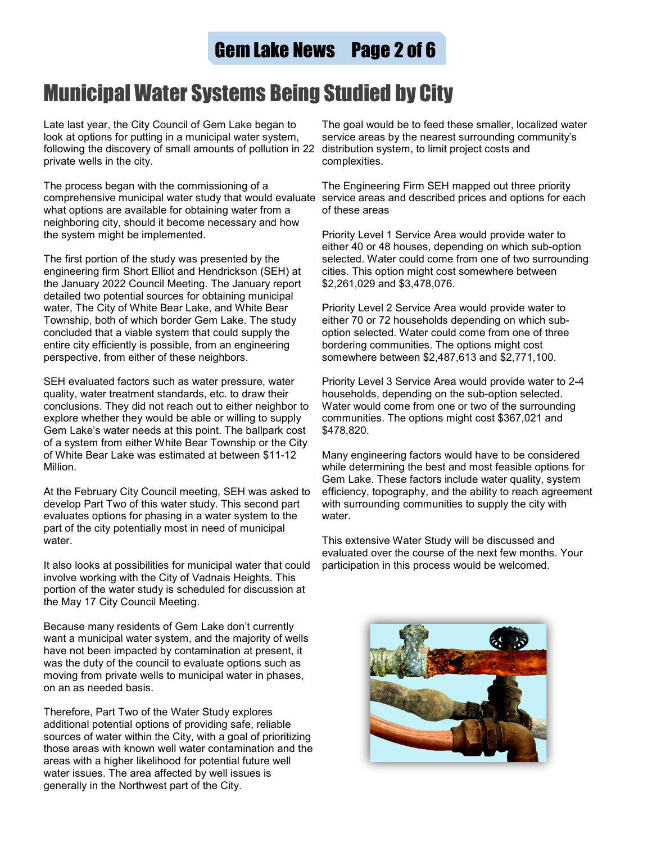## Gem Lake News Page 2 of 6

# Municipal Water Systems Being Studied by City

Late last year, the City Council of Gem Lake began to look at options for putting in a municipal water system, following the discovery of small amounts of pollution in 22 distribution system, to limit project costs and private wells in the city.

The process began with the commissioning of a comprehensive municipal water study that would evaluate service areas and described prices and options for each what options are available for obtaining water from a neighboring city, should it become necessary and how the system might be implemented.

The first portion of the study was presented by the engineering firm Short Elliot and Hendrickson (SEH) at the January 2022 Council Meeting. The January report detailed two potential sources for obtaining municipal water, The City of White Bear Lake, and White Bear Township, both of which border Gem Lake. The study concluded that a viable system that could supply the entire city efficiently is possible, from an engineering perspective, from either of these neighbors.

SEH evaluated factors such as water pressure, water quality, water treatment standards, etc. to draw their conclusions. They did not reach out to either neighbor to explore whether they would be able or willing to supply Gem Lake's water needs at this point. The ballpark cost of a system from either White Bear Township or the City of White Bear Lake was estimated at between \$11-12 Million.

At the February City Council meeting, SEH was asked to develop Part Two of this water study. This second part evaluates options for phasing in a water system to the part of the city potentially most in need of municipal water.

It also looks at possibilities for municipal water that could involve working with the City of Vadnais Heights. This portion of the water study is scheduled for discussion at the May 17 City Council Meeting.

Because many residents of Gem Lake don't currently want a municipal water system, and the majority of wells have not been impacted by contamination at present, it was the duty of the council to evaluate options such as moving from private wells to municipal water in phases, on an as needed basis.

Therefore, Part Two of the Water Study explores additional potential options of providing safe, reliable sources of water within the City, with a goal of prioritizing those areas with known well water contamination and the areas with a higher likelihood for potential future well water issues. The area affected by well issues is generally in the Northwest part of the City.

The goal would be to feed these smaller, localized water service areas by the nearest surrounding community's complexities.

The Engineering Firm SEH mapped out three priority of these areas

Priority Level 1 Service Area would provide water to either 40 or 48 houses, depending on which sub-option selected. Water could come from one of two surrounding cities. This option might cost somewhere between \$2,261,029 and \$3,478,076.

Priority Level 2 Service Area would provide water to either 70 or 72 households depending on which suboption selected. Water could come from one of three bordering communities. The options might cost somewhere between \$2,487,613 and \$2,771,100.

Priority Level 3 Service Area would provide water to 2-4 households, depending on the sub-option selected. Water would come from one or two of the surrounding communities. The options might cost \$367,021 and \$478,820.

Many engineering factors would have to be considered while determining the best and most feasible options for Gem Lake. These factors include water quality, system efficiency, topography, and the ability to reach agreement with surrounding communities to supply the city with water.

This extensive Water Study will be discussed and evaluated over the course of the next few months. Your participation in this process would be welcomed.

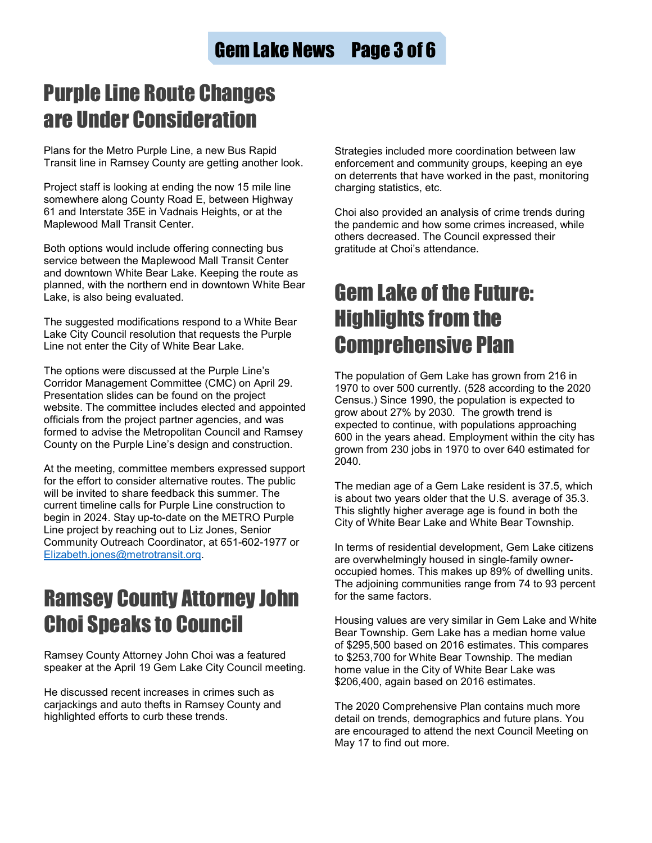## Purple Line Route Changes are Under Consideration

Plans for the Metro Purple Line, a new Bus Rapid Transit line in Ramsey County are getting another look.

Project staff is looking at ending the now 15 mile line somewhere along County Road E, between Highway 61 and Interstate 35E in Vadnais Heights, or at the Maplewood Mall Transit Center.

Both options would include offering connecting bus service between the Maplewood Mall Transit Center and downtown White Bear Lake. Keeping the route as planned, with the northern end in downtown White Bear Lake, is also being evaluated.

The suggested modifications respond to a White Bear Lake City Council resolution that requests the Purple Line not enter the City of White Bear Lake.

The options were discussed at the Purple Line's Corridor Management Committee (CMC) on April 29. Presentation slides can be found on the project website. The committee includes elected and appointed officials from the project partner agencies, and was formed to advise the Metropolitan Council and Ramsey County on the Purple Line's design and construction.

At the meeting, committee members expressed support for the effort to consider alternative routes. The public will be invited to share feedback this summer. The current timeline calls for Purple Line construction to begin in 2024. Stay up-to-date on the METRO Purple Line project by reaching out to Liz Jones, Senior Community Outreach Coordinator, at 651-602-1977 or [Elizabeth.jones@metrotransit.org.](mailto:Elizabeth.jones@metrotransit.org)

## Ramsey County Attorney John Choi Speaks to Council

Ramsey County Attorney John Choi was a featured speaker at the April 19 Gem Lake City Council meeting.

He discussed recent increases in crimes such as carjackings and auto thefts in Ramsey County and highlighted efforts to curb these trends.

Strategies included more coordination between law enforcement and community groups, keeping an eye on deterrents that have worked in the past, monitoring charging statistics, etc.

Choi also provided an analysis of crime trends during the pandemic and how some crimes increased, while others decreased. The Council expressed their gratitude at Choi's attendance.

# Gem Lake of the Future: Highlights from the Comprehensive Plan

The population of Gem Lake has grown from 216 in 1970 to over 500 currently. (528 according to the 2020 Census.) Since 1990, the population is expected to grow about 27% by 2030. The growth trend is expected to continue, with populations approaching 600 in the years ahead. Employment within the city has grown from 230 jobs in 1970 to over 640 estimated for 2040.

The median age of a Gem Lake resident is 37.5, which is about two years older that the U.S. average of 35.3. This slightly higher average age is found in both the City of White Bear Lake and White Bear Township.

In terms of residential development, Gem Lake citizens are overwhelmingly housed in single-family owneroccupied homes. This makes up 89% of dwelling units. The adjoining communities range from 74 to 93 percent for the same factors.

Housing values are very similar in Gem Lake and White Bear Township. Gem Lake has a median home value of \$295,500 based on 2016 estimates. This compares to \$253,700 for White Bear Township. The median home value in the City of White Bear Lake was \$206,400, again based on 2016 estimates.

The 2020 Comprehensive Plan contains much more detail on trends, demographics and future plans. You are encouraged to attend the next Council Meeting on May 17 to find out more.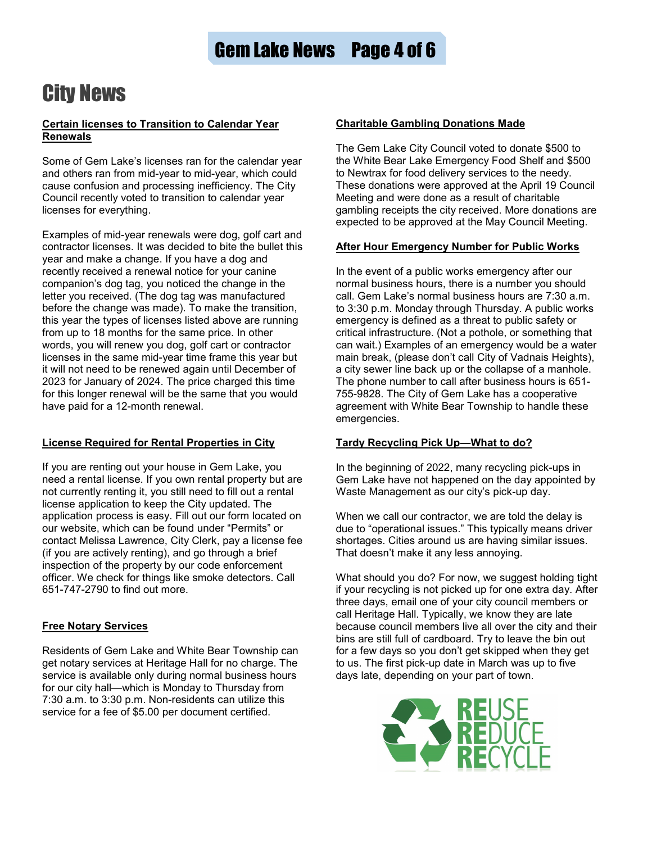# City News

#### **Certain licenses to Transition to Calendar Year Renewals**

Some of Gem Lake's licenses ran for the calendar year and others ran from mid-year to mid-year, which could cause confusion and processing inefficiency. The City Council recently voted to transition to calendar year licenses for everything.

Examples of mid-year renewals were dog, golf cart and contractor licenses. It was decided to bite the bullet this year and make a change. If you have a dog and recently received a renewal notice for your canine companion's dog tag, you noticed the change in the letter you received. (The dog tag was manufactured before the change was made). To make the transition, this year the types of licenses listed above are running from up to 18 months for the same price. In other words, you will renew you dog, golf cart or contractor licenses in the same mid-year time frame this year but it will not need to be renewed again until December of 2023 for January of 2024. The price charged this time for this longer renewal will be the same that you would have paid for a 12-month renewal.

### **License Required for Rental Properties in City**

If you are renting out your house in Gem Lake, you need a rental license. If you own rental property but are not currently renting it, you still need to fill out a rental license application to keep the City updated. The application process is easy. Fill out our form located on our website, which can be found under "Permits" or contact Melissa Lawrence, City Clerk, pay a license fee (if you are actively renting), and go through a brief inspection of the property by our code enforcement officer. We check for things like smoke detectors. Call 651-747-2790 to find out more.

### **Free Notary Services**

Residents of Gem Lake and White Bear Township can get notary services at Heritage Hall for no charge. The service is available only during normal business hours for our city hall—which is Monday to Thursday from 7:30 a.m. to 3:30 p.m. Non-residents can utilize this service for a fee of \$5.00 per document certified.

### **Charitable Gambling Donations Made**

The Gem Lake City Council voted to donate \$500 to the White Bear Lake Emergency Food Shelf and \$500 to Newtrax for food delivery services to the needy. These donations were approved at the April 19 Council Meeting and were done as a result of charitable gambling receipts the city received. More donations are expected to be approved at the May Council Meeting.

#### **After Hour Emergency Number for Public Works**

In the event of a public works emergency after our normal business hours, there is a number you should call. Gem Lake's normal business hours are 7:30 a.m. to 3:30 p.m. Monday through Thursday. A public works emergency is defined as a threat to public safety or critical infrastructure. (Not a pothole, or something that can wait.) Examples of an emergency would be a water main break, (please don't call City of Vadnais Heights), a city sewer line back up or the collapse of a manhole. The phone number to call after business hours is 651- 755-9828. The City of Gem Lake has a cooperative agreement with White Bear Township to handle these emergencies.

### **Tardy Recycling Pick Up—What to do?**

In the beginning of 2022, many recycling pick-ups in Gem Lake have not happened on the day appointed by Waste Management as our city's pick-up day.

When we call our contractor, we are told the delay is due to "operational issues." This typically means driver shortages. Cities around us are having similar issues. That doesn't make it any less annoying.

What should you do? For now, we suggest holding tight if your recycling is not picked up for one extra day. After three days, email one of your city council members or call Heritage Hall. Typically, we know they are late because council members live all over the city and their bins are still full of cardboard. Try to leave the bin out for a few days so you don't get skipped when they get to us. The first pick-up date in March was up to five days late, depending on your part of town.

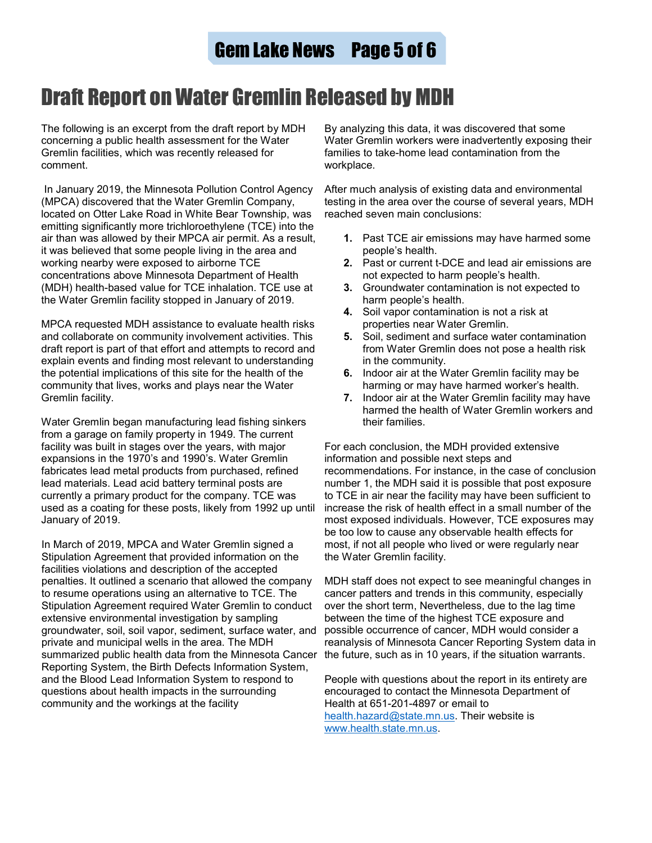# Draft Report on Water Gremlin Released by MDH

The following is an excerpt from the draft report by MDH concerning a public health assessment for the Water Gremlin facilities, which was recently released for comment.

In January 2019, the Minnesota Pollution Control Agency (MPCA) discovered that the Water Gremlin Company, located on Otter Lake Road in White Bear Township, was emitting significantly more trichloroethylene (TCE) into the air than was allowed by their MPCA air permit. As a result, it was believed that some people living in the area and working nearby were exposed to airborne TCE concentrations above Minnesota Department of Health (MDH) health-based value for TCE inhalation. TCE use at the Water Gremlin facility stopped in January of 2019.

MPCA requested MDH assistance to evaluate health risks and collaborate on community involvement activities. This draft report is part of that effort and attempts to record and explain events and finding most relevant to understanding the potential implications of this site for the health of the community that lives, works and plays near the Water Gremlin facility.

Water Gremlin began manufacturing lead fishing sinkers from a garage on family property in 1949. The current facility was built in stages over the years, with major expansions in the 1970's and 1990's. Water Gremlin fabricates lead metal products from purchased, refined lead materials. Lead acid battery terminal posts are currently a primary product for the company. TCE was used as a coating for these posts, likely from 1992 up until January of 2019.

In March of 2019, MPCA and Water Gremlin signed a Stipulation Agreement that provided information on the facilities violations and description of the accepted penalties. It outlined a scenario that allowed the company to resume operations using an alternative to TCE. The Stipulation Agreement required Water Gremlin to conduct extensive environmental investigation by sampling groundwater, soil, soil vapor, sediment, surface water, and private and municipal wells in the area. The MDH summarized public health data from the Minnesota Cancer Reporting System, the Birth Defects Information System, and the Blood Lead Information System to respond to questions about health impacts in the surrounding community and the workings at the facility

By analyzing this data, it was discovered that some Water Gremlin workers were inadvertently exposing their families to take-home lead contamination from the workplace.

After much analysis of existing data and environmental testing in the area over the course of several years, MDH reached seven main conclusions:

- **1.** Past TCE air emissions may have harmed some people's health.
- **2.** Past or current t-DCE and lead air emissions are not expected to harm people's health.
- **3.** Groundwater contamination is not expected to harm people's health.
- **4.** Soil vapor contamination is not a risk at properties near Water Gremlin.
- **5.** Soil, sediment and surface water contamination from Water Gremlin does not pose a health risk in the community.
- **6.** Indoor air at the Water Gremlin facility may be harming or may have harmed worker's health.
- **7.** Indoor air at the Water Gremlin facility may have harmed the health of Water Gremlin workers and their families.

For each conclusion, the MDH provided extensive information and possible next steps and recommendations. For instance, in the case of conclusion number 1, the MDH said it is possible that post exposure to TCE in air near the facility may have been sufficient to increase the risk of health effect in a small number of the most exposed individuals. However, TCE exposures may be too low to cause any observable health effects for most, if not all people who lived or were regularly near the Water Gremlin facility.

MDH staff does not expect to see meaningful changes in cancer patters and trends in this community, especially over the short term, Nevertheless, due to the lag time between the time of the highest TCE exposure and possible occurrence of cancer, MDH would consider a reanalysis of Minnesota Cancer Reporting System data in the future, such as in 10 years, if the situation warrants.

People with questions about the report in its entirety are encouraged to contact the Minnesota Department of Health at 651-201-4897 or email to [health.hazard@state.mn.us.](mailto:health.hazard@state.mn.us) Their website is [www.health.state.mn.us.](http://www.health.state.mn.us/)